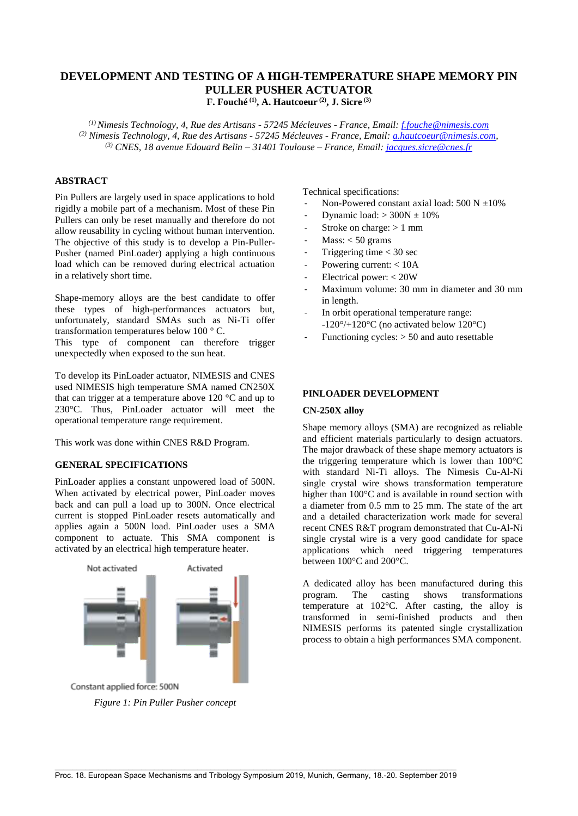# **DEVELOPMENT AND TESTING OF A HIGH-TEMPERATURE SHAPE MEMORY PIN PULLER PUSHER ACTUATOR F. Fouché (1) , A. Hautcoeur (2) , J. Sicre (3)**

*(1) Nimesis Technology, 4, Rue des Artisans - 57245 Mécleuves - France, Email[: f.fouche@nimesis.com](mailto:f.fouche@nimesis.com) (2) Nimesis Technology, 4, Rue des Artisans - 57245 Mécleuves - France, Email: [a.hautcoeur@nimesis.com,](mailto:a.hautcoeur@nimesis.com) (3) CNES, 18 avenue Edouard Belin – 31401 Toulouse – France, Email: [jacques.sicre@cnes.fr](mailto:jacques.sicre@cnes.fr)*

# **ABSTRACT**

Pin Pullers are largely used in space applications to hold rigidly a mobile part of a mechanism. Most of these Pin Pullers can only be reset manually and therefore do not allow reusability in cycling without human intervention. The objective of this study is to develop a Pin-Puller-Pusher (named PinLoader) applying a high continuous load which can be removed during electrical actuation in a relatively short time.

Shape-memory alloys are the best candidate to offer these types of high-performances actuators but, unfortunately, standard SMAs such as Ni-Ti offer transformation temperatures below 100 ° C.

This type of component can therefore trigger unexpectedly when exposed to the sun heat.

To develop its PinLoader actuator, NIMESIS and CNES used NIMESIS high temperature SMA named CN250X that can trigger at a temperature above 120 °C and up to 230°C. Thus, PinLoader actuator will meet the operational temperature range requirement.

This work was done within CNES R&D Program.

### **GENERAL SPECIFICATIONS**

PinLoader applies a constant unpowered load of 500N. When activated by electrical power, PinLoader moves back and can pull a load up to 300N. Once electrical current is stopped PinLoader resets automatically and applies again a 500N load. PinLoader uses a SMA component to actuate. This SMA component is activated by an electrical high temperature heater.



Technical specifications:

- Non-Powered constant axial load:  $500 N \pm 10\%$
- Dynamic load:  $>$  300N  $\pm$  10%
- Stroke on charge:  $> 1$  mm
- $Mass: < 50$  grams
- Triggering time < 30 sec
- Powering current: < 10A
- Electrical power: < 20W
- Maximum volume: 30 mm in diameter and 30 mm in length.
- In orbit operational temperature range: -120°/+120°C (no activated below 120°C)
- Functioning cycles:  $> 50$  and auto resettable

### **PINLOADER DEVELOPMENT**

#### **CN-250X alloy**

Shape memory alloys (SMA) are recognized as reliable and efficient materials particularly to design actuators. The major drawback of these shape memory actuators is the triggering temperature which is lower than 100°C with standard Ni-Ti alloys. The Nimesis Cu-Al-Ni single crystal wire shows transformation temperature higher than 100°C and is available in round section with a diameter from 0.5 mm to 25 mm. The state of the art and a detailed characterization work made for several recent CNES R&T program demonstrated that Cu-Al-Ni single crystal wire is a very good candidate for space applications which need triggering temperatures between 100°C and 200°C.

A dedicated alloy has been manufactured during this program. The casting shows transformations temperature at 102°C. After casting, the alloy is transformed in semi-finished products and then NIMESIS performs its patented single crystallization process to obtain a high performances SMA component.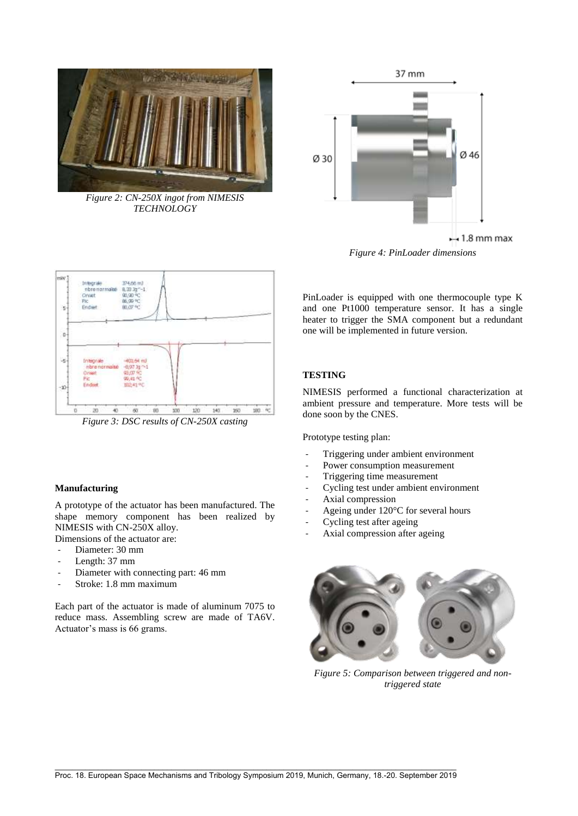

*Figure 2: CN-250X ingot from NIMESIS TECHNOLOGY*



*Figure 4: PinLoader dimensions*



# **Manufacturing**

A prototype of the actuator has been manufactured. The shape memory component has been realized by NIMESIS with CN-250X alloy.

Dimensions of the actuator are:

- Diameter: 30 mm
- Length: 37 mm
- Diameter with connecting part: 46 mm
- Stroke: 1.8 mm maximum

Each part of the actuator is made of aluminum 7075 to reduce mass. Assembling screw are made of TA6V. Actuator's mass is 66 grams.

PinLoader is equipped with one thermocouple type K and one Pt1000 temperature sensor. It has a single heater to trigger the SMA component but a redundant one will be implemented in future version.

# **TESTING**

NIMESIS performed a functional characterization at ambient pressure and temperature. More tests will be done soon by the CNES.

Prototype testing plan:

- Triggering under ambient environment
- Power consumption measurement
- Triggering time measurement
- Cycling test under ambient environment
- Axial compression
- Ageing under 120°C for several hours
- Cycling test after ageing
- Axial compression after ageing



*Figure 5: Comparison between triggered and nontriggered state*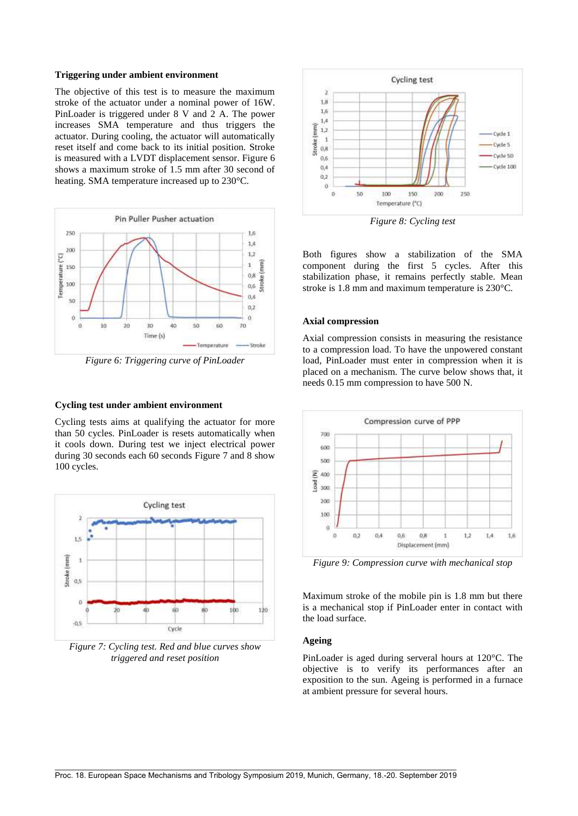#### **Triggering under ambient environment**

The objective of this test is to measure the maximum stroke of the actuator under a nominal power of 16W. PinLoader is triggered under 8 V and 2 A. The power increases SMA temperature and thus triggers the actuator. During cooling, the actuator will automatically reset itself and come back to its initial position. Stroke is measured with a LVDT displacement sensor. Figure 6 shows a maximum stroke of 1.5 mm after 30 second of heating. SMA temperature increased up to 230°C.



*Figure 6: Triggering curve of PinLoader* 

### **Cycling test under ambient environment**

Cycling tests aims at qualifying the actuator for more than 50 cycles. PinLoader is resets automatically when it cools down. During test we inject electrical power during 30 seconds each 60 seconds Figure 7 and 8 show 100 cycles.



*Figure 7: Cycling test. Red and blue curves show triggered and reset position*



*Figure 8: Cycling test*

Both figures show a stabilization of the SMA component during the first 5 cycles. After this stabilization phase, it remains perfectly stable. Mean stroke is 1.8 mm and maximum temperature is 230°C.

### **Axial compression**

Axial compression consists in measuring the resistance to a compression load. To have the unpowered constant load, PinLoader must enter in compression when it is placed on a mechanism. The curve below shows that, it needs 0.15 mm compression to have 500 N.



*Figure 9: Compression curve with mechanical stop*

Maximum stroke of the mobile pin is 1.8 mm but there is a mechanical stop if PinLoader enter in contact with the load surface.

# **Ageing**

PinLoader is aged during serveral hours at 120°C. The objective is to verify its performances after an exposition to the sun. Ageing is performed in a furnace at ambient pressure for several hours.